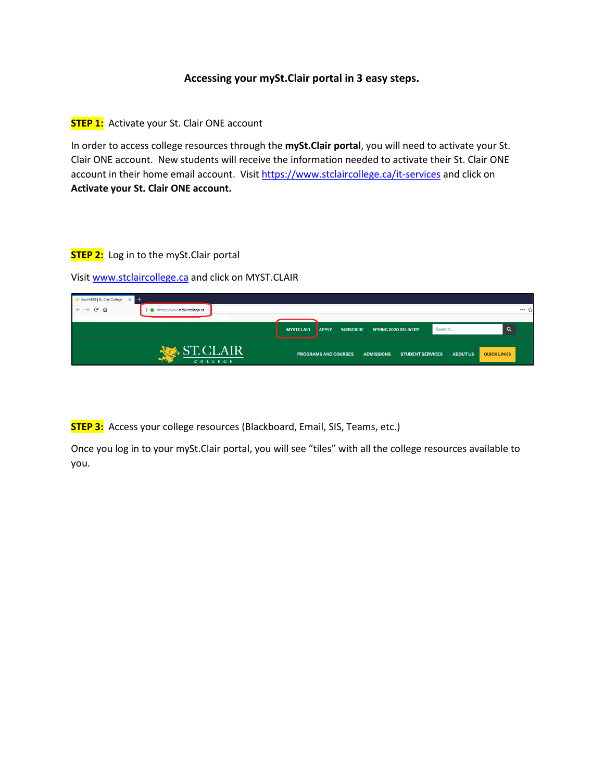## **Accessing your mySt.Clair portal in 3 easy steps.**

**STEP 1:** Activate your St. Clair ONE account

In order to access college resources through the **mySt.Clair portal**, you will need to activate your St. Clair ONE account. New students will receive the information needed to activate their St. Clair ONE account in their home email account. Visit<https://www.stclaircollege.ca/it-services> and click on **Activate your St. Clair ONE account.**

## **STEP 2:** Log in to the mySt.Clair portal

Visit [www.stclaircollege.ca](http://www.stclaircollege.ca/) and click on MYST.CLAIR

| Start HERE   St. Clair College<br>$+$<br>$\times$<br>$\left(\leftarrow\right) \rightarrow$ e $\omega$<br>① △ https://www.stclaircollege.ca |                   |                                  |                                              |                 | … ☆                |
|--------------------------------------------------------------------------------------------------------------------------------------------|-------------------|----------------------------------|----------------------------------------------|-----------------|--------------------|
|                                                                                                                                            | <b>MYST.CLAIR</b> | <b>SUBSCRIBE</b><br><b>APPLY</b> | <b>SPRING 2020 DELIVERY</b>                  | Search          |                    |
| ST.CLAIR<br>COLLEGE                                                                                                                        |                   | <b>PROGRAMS AND COURSES</b>      | <b>STUDENT SERVICES</b><br><b>ADMISSIONS</b> | <b>ABOUT US</b> | <b>QUICK LINKS</b> |

**STEP 3:** Access your college resources (Blackboard, Email, SIS, Teams, etc.)

Once you log in to your mySt.Clair portal, you will see "tiles" with all the college resources available to you.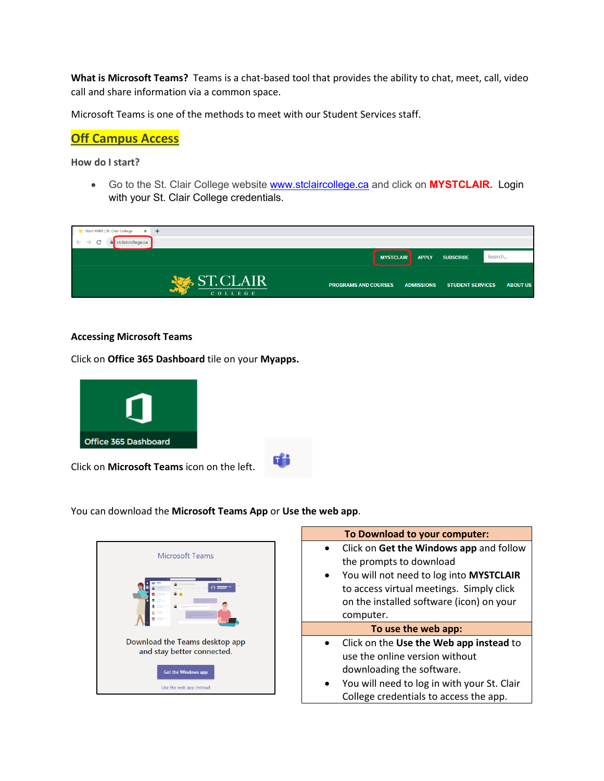**What is Microsoft Teams?** Teams is a chat-based tool that provides the ability to chat, meet, call, video call and share information via a common space.

Microsoft Teams is one of the methods to meet with our Student Services staff.

# **Off Campus Access**

**How do I start?**

• Go to the St. Clair College website [www.stclaircollege.ca](http://www.stclaircollege.ca/) and click on **MYSTCLAIR.** Login with your St. Clair College credentials.

| Start HERE   St. Clair College<br>$\times$<br>$+$    |                                                                             |                 |
|------------------------------------------------------|-----------------------------------------------------------------------------|-----------------|
| C<br>stclaircollege.ca<br>$\leftarrow$ $\rightarrow$ |                                                                             |                 |
|                                                      | <b>MYST.CLAIR</b><br><b>APPLY</b><br><b>SUBSCRIBE</b>                       | Search          |
| <b>ST.CLAIR</b><br>COLLEGE                           | <b>PROGRAMS AND COURSES</b><br><b>ADMISSIONS</b><br><b>STUDENT SERVICES</b> | <b>ABOUT US</b> |

#### **Accessing Microsoft Teams**

Click on **Office 365 Dashboard** tile on your **Myapps.**



You can download the **Microsoft Teams App** or **Use the web app**.

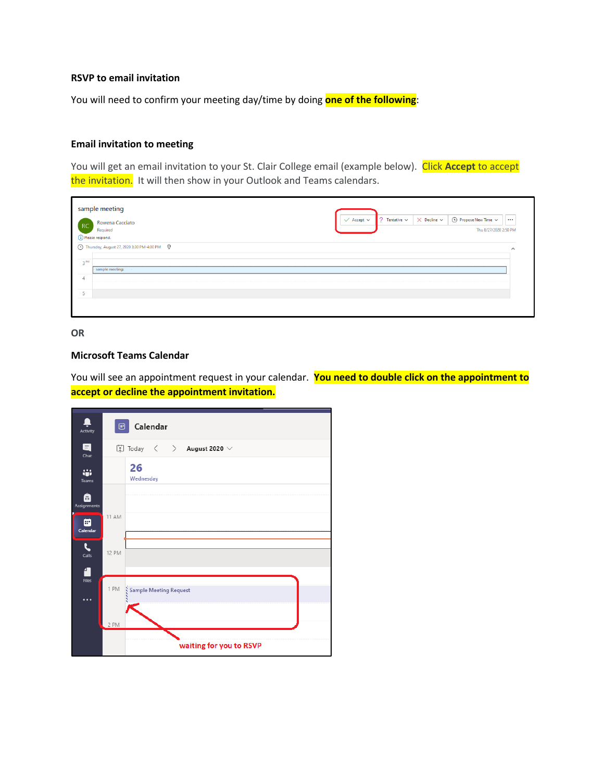#### **RSVP to email invitation**

You will need to confirm your meeting day/time by doing **one of the following**:

## **Email invitation to meeting**

You will get an email invitation to your St. Clair College email (example below). Click **Accept** to accept the invitation. It will then show in your Outlook and Teams calendars.

| Rowena Cacciato<br><b>RC</b> |                                                                             |  | $\checkmark$ Accept $\checkmark$ | $2$ Tentative $\sim$ | $\times$ Decline $\times$ | (C) Propose New Time $\sim$ | $\cdots$            |
|------------------------------|-----------------------------------------------------------------------------|--|----------------------------------|----------------------|---------------------------|-----------------------------|---------------------|
| Required                     |                                                                             |  |                                  |                      |                           | Thu 8/27/2020 2:50 PM       |                     |
| (i) Please respond.          |                                                                             |  |                                  |                      |                           |                             |                     |
|                              | 4:00 PM $\heartsuit$ Thursday, August 27, 2020 3:30 PM-4:00 PM $\heartsuit$ |  |                                  |                      |                           |                             | $\hat{\phantom{a}}$ |
|                              |                                                                             |  |                                  |                      |                           |                             |                     |
|                              |                                                                             |  |                                  |                      |                           |                             |                     |
|                              |                                                                             |  |                                  |                      |                           |                             |                     |
| sample meeting;              |                                                                             |  |                                  |                      |                           |                             |                     |
|                              |                                                                             |  |                                  |                      |                           |                             |                     |
| 3 <sup>PM</sup>              |                                                                             |  |                                  |                      |                           |                             |                     |

#### **OR**

#### **Microsoft Teams Calendar**

You will see an appointment request in your calendar. **You need to double click on the appointment to accept or decline the appointment invitation.**

| Π<br>Activity    | ₿            | Calendar                                                                                                                                         |  |
|------------------|--------------|--------------------------------------------------------------------------------------------------------------------------------------------------|--|
| a<br>Chat        |              | $\left[\begin{matrix} 1 \\ 1 \end{matrix}\right]$ Today $\left\langle \begin{matrix} 1 \\ 2 \end{matrix}\right\rangle$ <b>August 2020</b> $\vee$ |  |
| ÷<br>Teams       |              | 26<br>Wednesday                                                                                                                                  |  |
| â<br>Assignments |              |                                                                                                                                                  |  |
| ⊞<br>Calendar    | <b>11 AM</b> |                                                                                                                                                  |  |
| G<br>Calls       | 12 PM        |                                                                                                                                                  |  |
| æ                |              |                                                                                                                                                  |  |
| Files<br>        | 1 PM         | Sample Meeting Request                                                                                                                           |  |
|                  | 2 PM         |                                                                                                                                                  |  |
|                  |              | waiting for you to RSVP                                                                                                                          |  |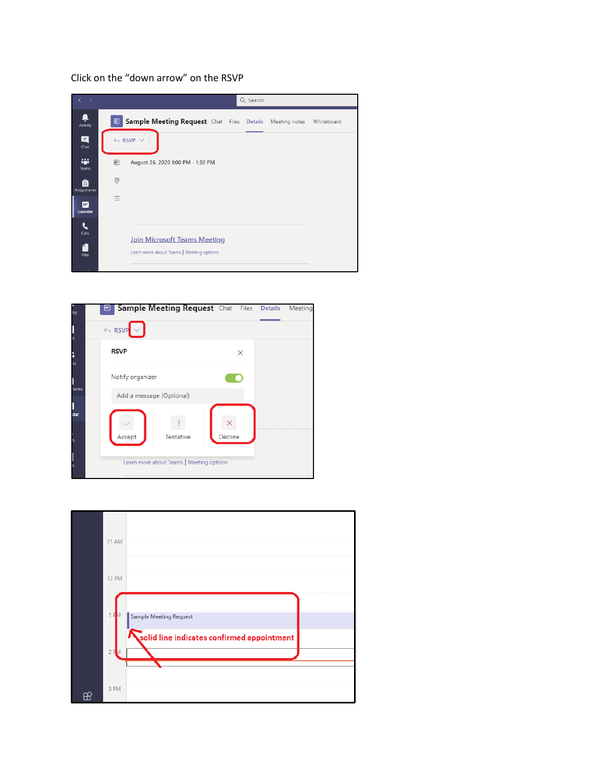# Click on the "down arrow" on the RSVP





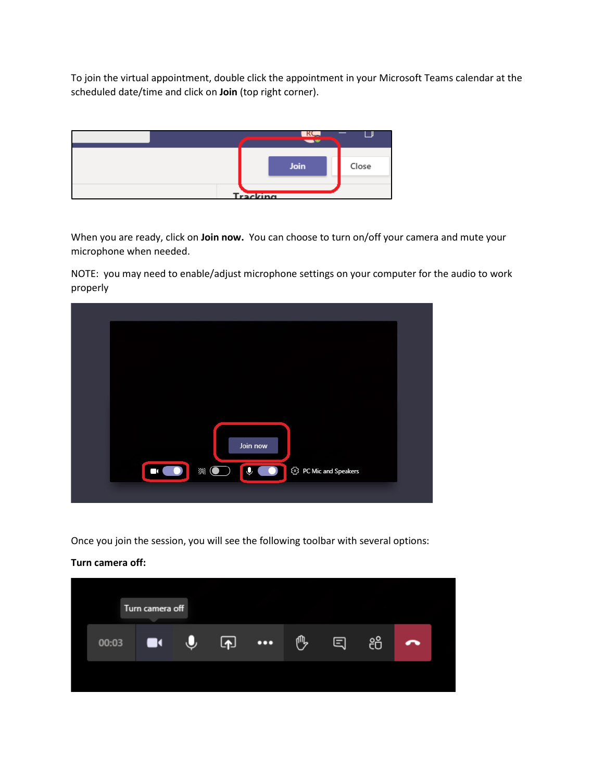To join the virtual appointment, double click the appointment in your Microsoft Teams calendar at the scheduled date/time and click on **Join** (top right corner).



When you are ready, click on **Join now.** You can choose to turn on/off your camera and mute your microphone when needed.

NOTE: you may need to enable/adjust microphone settings on your computer for the audio to work properly



Once you join the session, you will see the following toolbar with several options:

#### **Turn camera off:**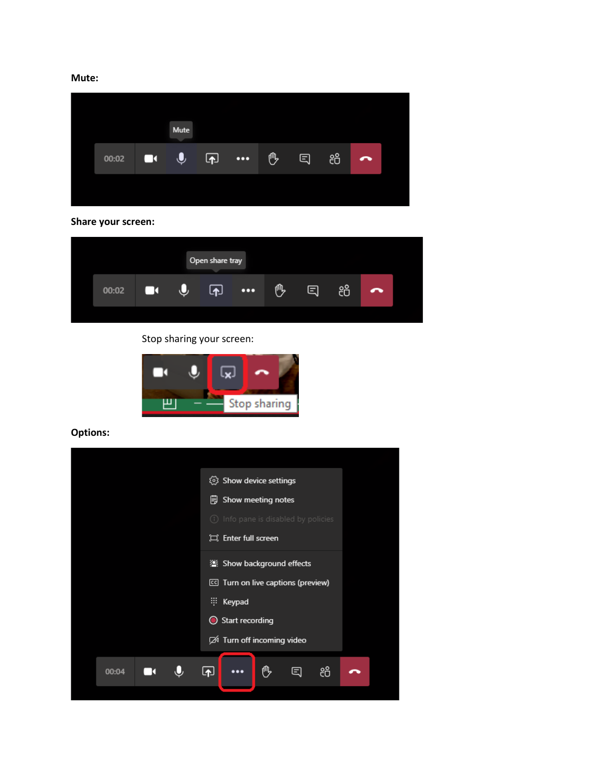**Mute:**

**Share your screen:**

| Open share tray |       |   |   |   |                         |   |   |    |   |  |
|-----------------|-------|---|---|---|-------------------------|---|---|----|---|--|
|                 | 00:02 | И | U | 囨 | $\bullet\bullet\bullet$ | 凧 | Ξ | සී | ⌒ |  |
|                 |       |   |   |   |                         |   |   |    |   |  |

Stop sharing your screen:



**Options:**